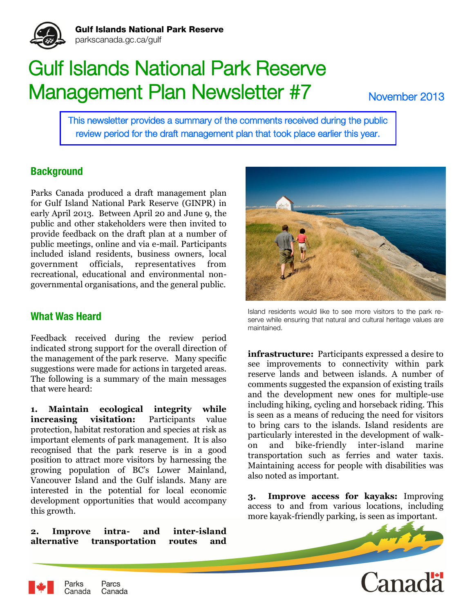

# Gulf Islands National Park Reserve Management Plan Newsletter #7

November 2013

This newsletter provides a summary of the comments received during the public review period for the draft management plan that took place earlier this year.

## **Background**

Parks Canada produced a draft management plan for Gulf Island National Park Reserve (GINPR) in early April 2013. Between April 20 and June 9, the public and other stakeholders were then invited to provide feedback on the draft plan at a number of public meetings, online and via e-mail. Participants included island residents, business owners, local government officials, representatives from recreational, educational and environmental nongovernmental organisations, and the general public.

## **What Was Heard**

Parks

Canada

Feedback received during the review period indicated strong support for the overall direction of the management of the park reserve. Many specific suggestions were made for actions in targeted areas. The following is a summary of the main messages that were heard:

**1. Maintain ecological integrity while increasing visitation:** Participants value protection, habitat restoration and species at risk as important elements of park management. It is also recognised that the park reserve is in a good position to attract more visitors by harnessing the growing population of BC's Lower Mainland, Vancouver Island and the Gulf islands. Many are interested in the potential for local economic development opportunities that would accompany this growth.

**2. Improve intra- and inter-island alternative transportation routes and** 

Parcs

Canada



Island residents would like to see more visitors to the park reserve while ensuring that natural and cultural heritage values are maintained.

**infrastructure:** Participants expressed a desire to see improvements to connectivity within park reserve lands and between islands. A number of comments suggested the expansion of existing trails and the development new ones for multiple-use including hiking, cycling and horseback riding. This is seen as a means of reducing the need for visitors to bring cars to the islands. Island residents are particularly interested in the development of walkon and bike-friendly inter-island marine transportation such as ferries and water taxis. Maintaining access for people with disabilities was also noted as important.

**3. Improve access for kayaks:** Improving access to and from various locations, including more kayak-friendly parking, is seen as important.